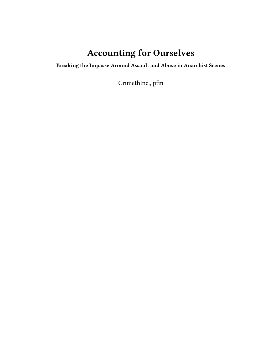# **Accounting for Ourselves**

**Breaking the Impasse Around Assault and Abuse in Anarchist Scenes**

CrimethInc., pfm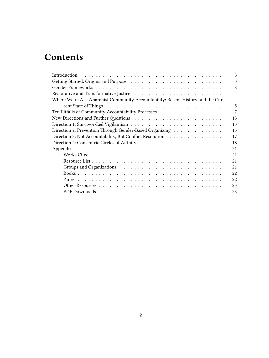## **Contents**

| 3                                                                                |
|----------------------------------------------------------------------------------|
| 3                                                                                |
| 3                                                                                |
| $\overline{4}$                                                                   |
| Where We're At - Anarchist Community Accountability: Recent History and the Cur- |
| 5                                                                                |
| 7                                                                                |
| 13                                                                               |
| 13                                                                               |
| Direction 2: Prevention Through Gender-Based Organizing<br>15                    |
| Direction 3: Not Accountability, But Conflict Resolution<br>17                   |
| 18                                                                               |
| 21                                                                               |
| 21                                                                               |
| 21                                                                               |
| 21                                                                               |
| 22                                                                               |
| 22                                                                               |
| 23                                                                               |
| 23                                                                               |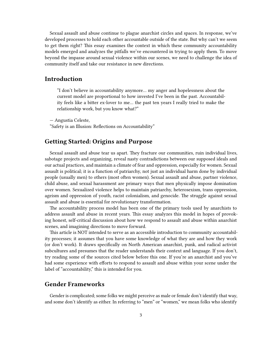Sexual assault and abuse continue to plague anarchist circles and spaces. In response, we've developed processes to hold each other accountable outside of the state. But why can't we seem to get them right? This essay examines the context in which these community accountability models emerged and analyzes the pitfalls we've encountered in trying to apply them. To move beyond the impasse around sexual violence within our scenes, we need to challenge the idea of community itself and take our resistance in new directions.

#### <span id="page-2-0"></span>**Introduction**

"I don't believe in accountability anymore… my anger and hopelessness about the current model are proportional to how invested I've been in the past. Accountability feels like a bitter ex-lover to me… the past ten years I really tried to make the relationship work, but you know what?"

— Angustia Celeste,

"Safety is an Illusion: Reflections on Accountability"

## <span id="page-2-1"></span>**Getting Started: Origins and Purpose**

Sexual assault and abuse tear us apart. They fracture our communities, ruin individual lives, sabotage projects and organizing, reveal nasty contradictions between our supposed ideals and our actual practices, and maintain a climate of fear and oppression, especially for women. Sexual assault is political; it is a function of patriarchy, not just an individual harm done by individual people (usually men) to others (most often women). Sexual assault and abuse, partner violence, child abuse, and sexual harassment are primary ways that men physically impose domination over women. Sexualized violence helps to maintain patriarchy, heterosexism, trans oppression, ageism and oppression of youth, racist colonialism, and genocide. The struggle against sexual assault and abuse is essential for revolutionary transformation.

The accountability process model has been one of the primary tools used by anarchists to address assault and abuse in recent years. This essay analyzes this model in hopes of provoking honest, self-critical discussion about how we respond to assault and abuse within anarchist scenes, and imagining directions to move forward.

This article is NOT intended to serve as an accessible introduction to community accountability processes; it assumes that you have some knowledge of what they are and how they work (or don't work). It draws specifically on North American anarchist, punk, and radical activist subcultures and presumes that the reader understands their context and language. If you don't, try reading some of the sources cited below before this one. If you're an anarchist and you've had some experience with efforts to respond to assault and abuse within your scene under the label of "accountability," this is intended for you.

### <span id="page-2-2"></span>**Gender Frameworks**

Gender is complicated; some folks we might perceive as male or female don't identify that way, and some don't identify as either. In referring to "men" or "women," we mean folks who identify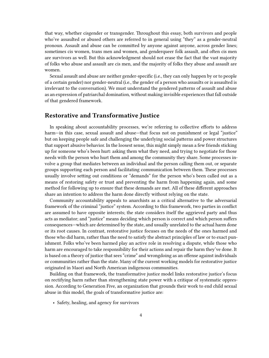that way, whether cisgender or transgender. Throughout this essay, both survivors and people who've assaulted or abused others are referred to in general using "they" as a gender-neutral pronoun. Assault and abuse can be committed by anyone against anyone, across gender lines; sometimes cis women, trans men and women, and genderqueer folk assault, and often cis men are survivors as well. But this acknowledgment should not erase the fact that the vast majority of folks who abuse and assault are cis men, and the majority of folks they abuse and assault are women.

Sexual assault and abuse are neither gender-specific (i.e., they can only happen by or to people of a certain gender) nor gender-neutral (i.e., the gender of a person who assaults or is assaulted is irrelevant to the conversation). We must understand the gendered patterns of assault and abuse as an expression of patriarchal domination, without making invisible experiences that fall outside of that gendered framework.

#### <span id="page-3-0"></span>**Restorative and Transformative Justice**

In speaking about accountability processes, we're referring to collective efforts to address harm—in this case, sexual assault and abuse—that focus not on punishment or legal "justice" but on keeping people safe and challenging the underlying social patterns and power structures that support abusive behavior. In the loosest sense, this might simply mean a few friends sticking up for someone who's been hurt: asking them what they need, and trying to negotiate for those needs with the person who hurt them and among the community they share. Some processes involve a group that mediates between an individual and the person calling them out, or separate groups supporting each person and facilitating communication between them. These processes usually involve setting out conditions or "demands" for the person who's been called out as a means of restoring safety or trust and preventing the harm from happening again, and some method for following up to ensure that these demands are met. All of these different approaches share an intention to address the harm done directly without relying on the state.

Community accountability appeals to anarchists as a critical alternative to the adversarial framework of the criminal "justice" system. According to this framework, two parties in conflict are assumed to have opposite interests; the state considers itself the aggrieved party and thus acts as mediator; and "justice" means deciding which person is correct and which person suffers consequences—which are determined by the state, and usually unrelated to the actual harm done or its root causes. In contrast, restorative justice focuses on the needs of the ones harmed and those who did harm, rather than the need to satisfy the abstract principles of law or to exact punishment. Folks who've been harmed play an active role in resolving a dispute, while those who harm are encouraged to take responsibility for their actions and repair the harm they've done. It is based on a theory of justice that sees "crime" and wrongdoing as an offense against individuals or communities rather than the state. Many of the current working models for restorative justice originated in Maori and North American indigenous communities.

Building on that framework, the transformative justice model links restorative justice's focus on rectifying harm rather than strengthening state power with a critique of systematic oppression. According to Generation Five, an organization that grounds their work to end child sexual abuse in this model, the goals of transformative justice are:

• Safety, healing, and agency for survivors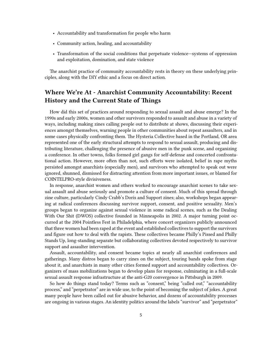- Accountability and transformation for people who harm
- Community action, healing, and accountability
- Transformation of the social conditions that perpetuate violence—systems of oppression and exploitation, domination, and state violence

The anarchist practice of community accountability rests in theory on these underlying principles, along with the DIY ethic and a focus on direct action.

## <span id="page-4-0"></span>**Where We're At - Anarchist Community Accountability: Recent History and the Current State of Things**

How did this set of practices around responding to sexual assault and abuse emerge? In the 1990s and early 2000s, women and other survivors responded to assault and abuse in a variety of ways, including making zines calling people out to distribute at shows, discussing their experiences amongst themselves, warning people in other communities about repeat assaulters, and in some cases physically confronting them. The Hysteria Collective based in the Portland, OR area represented one of the early structural attempts to respond to sexual assault, producing and distributing literature, challenging the presence of abusive men in the punk scene, and organizing a conference. In other towns, folks formed girl gangs for self-defense and concerted confrontational action. However, more often than not, such efforts were isolated, belief in rape myths persisted amongst anarchists (especially men), and survivors who attempted to speak out were ignored, shunned, dismissed for distracting attention from more important issues, or blamed for COINTELPRO-style divisiveness.

In response, anarchist women and others worked to encourage anarchist scenes to take sexual assault and abuse seriously and promote a culture of consent. Much of this spread through zine culture, particularly Cindy Crabb's Doris and Support zines; also, workshops began appearing at radical conferences discussing survivor support, consent, and positive sexuality. Men's groups began to organize against sexual violence in some radical scenes, such as the Dealing With Our Shit (DWOS) collective founded in Minneapolis in 2002. A major turning point occurred at the 2004 Pointless Fest in Philadelphia, where concert organizers publicly announced that three women had been raped at the event and established collectives to support the survivors and figure out how to deal with the rapists. These collectives became Philly's Pissed and Philly Stands Up, long-standing separate but collaborating collectives devoted respectively to survivor support and assaulter intervention.

Assault, accountability, and consent became topics at nearly all anarchist conferences and gatherings. Many distros began to carry zines on the subject, touring bands spoke from stage about it, and anarchists in many other cities formed support and accountability collectives. Organizers of mass mobilizations began to develop plans for response, culminating in a full-scale sexual assault response infrastructure at the anti-G20 convergence in Pittsburgh in 2009.

So how do things stand today? Terms such as "consent," being "called out," "accountability process," and "perpetrator" are in wide use, to the point of becoming the subject of jokes. A great many people have been called out for abusive behavior, and dozens of accountability processes are ongoing in various stages. An identity politics around the labels "survivor" and "perpetrator"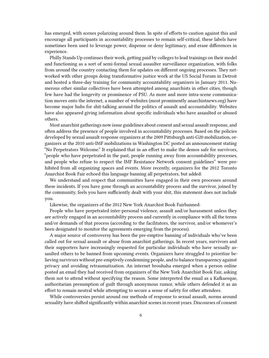has emerged, with scenes polarizing around them. In spite of efforts to caution against this and encourage all participants in accountability processes to remain self-critical, these labels have sometimes been used to leverage power, dispense or deny legitimacy, and erase differences in experience.

Philly Stands Up continues their work, getting paid by colleges to lead trainings on their model and functioning as a sort of semi-formal sexual assaulter surveillance organization, with folks from around the country contacting them for updates on different ongoing processes. They networked with other groups doing transformative justice work at the US Social Forum in Detroit and hosted a three-day training for community accountability organizers in January 2011. Numerous other similar collectives have been attempted among anarchists in other cities, though few have had the longevity or prominence of PSU. As more and more intra-scene communication moves onto the internet, a number of websites (most prominently anarchistnews.org) have become major hubs for shit-talking around the politics of assault and accountability. Websites have also appeared giving information about specific individuals who have assaulted or abused others.

Most anarchist gatherings now issue guidelines about consent and sexual assault response, and often address the presence of people involved in accountability processes. Based on the policies developed by sexual assault response organizers at the 2009 Pittsburgh anti-G20 mobilization, organizers at the 2010 anti-IMF mobilizations in Washington DC posted an announcement stating "No Perpetrators Welcome." It explained that in an effort to make the demos safe for survivors, "people who have perpetrated in the past, people running away from accountability processes, and people who refuse to respect the IMF Resistance Network consent guidelines" were prohibited from all organizing spaces and events. More recently, organizers for the 2012 Toronto Anarchist Book Fair echoed this language banning all perpetrators, but added:

We understand and respect that communities have engaged in their own processes around these incidents. If you have gone through an accountability process and the survivor, joined by the community, feels you have sufficiently dealt with your shit, this statement does not include you.

Likewise, the organizers of the 2012 New York Anarchist Book Fairbanned:

People who have perpetrated inter-personal violence, assault and/or harassment unless they are actively engaged in an accountability process and currently in compliance with all the terms and/or demands of that process (according to the facilitators, the survivor, and/or whomever's been designated to monitor the agreements emerging from the process).

A major source of controversy has been the pre-emptive banning of individuals who've been called out for sexual assault or abuse from anarchist gatherings. In recent years, survivors and their supporters have increasingly requested for particular individuals who have sexually assaulted others to be banned from upcoming events. Organizers have struggled to prioritize believing survivors without pre-emptively condemning people, and to balance transparency against privacy and avoiding retraumatization. An internet brouhaha emerged when a person online posted an email they had received from organizers of the New York Anarchist Book Fair, asking them not to attend without specifying the reason. Some interpreted the email as a Kafkaesque, authoritarian presumption of guilt through anonymous rumor, while others defended it as an effort to remain neutral while attempting to secure a sense of safety for other attendees.

While controversies persist around our methods of response to sexual assault, norms around sexuality have shifted significantly within anarchist scenes in recent years. Discourses of consent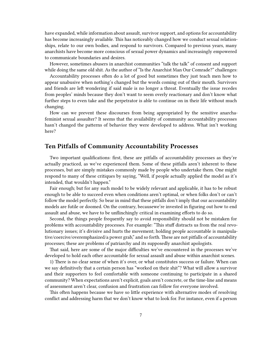have expanded, while information about assault, survivor support, and options for accountability has become increasingly available. This has noticeably changed how we conduct sexual relationships, relate to our own bodies, and respond to survivors. Compared to previous years, many anarchists have become more conscious of sexual power dynamics and increasingly empowered to communicate boundaries and desires.

However, sometimes abusers in anarchist communities "talk the talk" of consent and support while doing the same old shit. As the author of "Is the Anarchist Man Our Comrade?" challenges:

Accountability processes often do a lot of good but sometimes they just teach men how to appear unabusive when nothing's changed but the words coming out of their mouth. Survivors and friends are left wondering if said male is no longer a threat. Eventually the issue recedes from peoples' minds because they don't want to seem overly reactionary and don't know what further steps to even take and the perpetrator is able to continue on in their life without much changing.

How can we prevent these discourses from being appropriated by the sensitive anarchafeminist sexual assaulter? It seems that the availability of community accountability processes hasn't changed the patterns of behavior they were developed to address. What isn't working here?

## <span id="page-6-0"></span>**Ten Pitfalls of Community Accountability Processes**

Two important qualifications: first, these are pitfalls of accountability processes as they're actually practiced, as we've experienced them. Some of these pitfalls aren't inherent to these processes, but are simply mistakes commonly made by people who undertake them. One might respond to many of these critiques by saying, "Well, if people actually applied the model as it's intended, that wouldn't happen."

Fair enough; but for any such model to be widely relevant and applicable, it has to be robust enough to be able to succeed even when conditions aren't optimal, or when folks don't or can't follow the model perfectly. So bear in mind that these pitfalls don't imply that our accountability models are futile or doomed. On the contrary, becausewe're invested in figuring out how to end assault and abuse, we have to be unflinchingly critical in examining efforts to do so.

Second, the things people frequently say to avoid responsibility should not be mistaken for problems with accountability processes. For example: "This stuff distracts us from the real revolutionary issues; it's divisive and hurts the movement; holding people accountable is manipulative/coercive/overemphasized/a power grab," and so forth. These are not pitfalls of accountability processes; these are problems of patriarchy and its supposedly anarchist apologists.

That said, here are some of the major difficulties we've encountered in the processes we've developed to hold each other accountable for sexual assault and abuse within anarchist scenes.

1) There is no clear sense of when it's over, or what constitutes success or failure. When can we say definitively that a certain person has "worked on their shit"? What will allow a survivor and their supporters to feel comfortable with someone continuing to participate in a shared community? When expectations aren't explicit, goals aren't concrete, or the time-line and means of assessment aren't clear, confusion and frustration can follow for everyone involved.

This often happens because we have so little experience with alternative modes of resolving conflict and addressing harm that we don't know what to look for. For instance, even if a person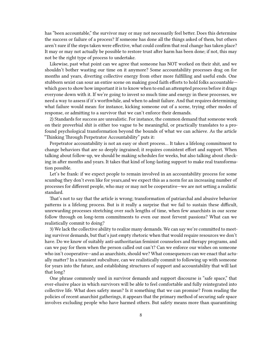has "been accountable," the survivor may or may not necessarily feel better. Does this determine the success or failure of a process? If someone has done all the things asked of them, but others aren't sure if the steps taken were effective, what could confirm that real change has taken place? It may or may not actually be possible to restore trust after harm has been done; if not, this may not be the right type of process to undertake.

Likewise, past what point can we agree that someone has NOT worked on their shit, and we shouldn't bother wasting our time on it anymore? Some accountability processes drag on for months and years, diverting collective energy from other more fulfilling and useful ends. One stubborn sexist can sour an entire scene on making good faith efforts to hold folks accountable which goes to show how important it is to know when to end an attempted process before it drags everyone down with it. If we're going to invest so much time and energy in these processes, we need a way to assess if it's worthwhile, and when to admit failure. And that requires determining what failure would mean: for instance, kicking someone out of a scene, trying other modes of response, or admitting to a survivor that we can't enforce their demands.

2) Standards for success are unrealistic. For instance, the common demand that someone work on their proverbial shit is either too vague to be meaningful, or practically translates to a profound psychological transformation beyond the bounds of what we can achieve. As the article "Thinking Through Perpetrator Accountability" puts it:

Perpetrator accountability is not an easy or short process… It takes a lifelong commitment to change behaviors that are so deeply ingrained; it requires consistent effort and support. When talking about follow-up, we should be making schedules for weeks, but also talking about checking in after months and years. It takes that kind of long-lasting support to make real transformation possible.

Let's be frank: if we expect people to remain involved in an accountability process for some scumbag they don't even like for years,and we expect this as a norm for an increasing number of processes for different people, who may or may not be cooperative—we are not setting a realistic standard.

That's not to say that the article is wrong; transformation of patriarchal and abusive behavior patterns is a lifelong process. But is it really a surprise that we fail to sustain these difficult, unrewarding processes stretching over such lengths of time, when few anarchists in our scene follow through on long-term commitments to even our most fervent passions? What can we realistically commit to doing?

3) We lack the collective ability to realize many demands. We can say we're committed to meeting survivor demands, but that's just empty rhetoric when that would require resources we don't have. Do we know of suitably anti-authoritarian feminist counselors and therapy programs, and can we pay for them when the person called out can't? Can we enforce our wishes on someone who isn't cooperative—and as anarchists, should we? What consequences can we enact that actually matter? In a transient subculture, can we realistically commit to following up with someone for years into the future, and establishing structures of support and accountability that will last that long?

One phrase commonly used in survivor demands and support discourse is "safe space," that ever-elusive place in which survivors will be able to feel comfortable and fully reintegrated into collective life. What does safety mean? Is it something that we can promise? From reading the policies of recent anarchist gatherings, it appears that the primary method of securing safe space involves excluding people who have harmed others. But safety means more than quarantining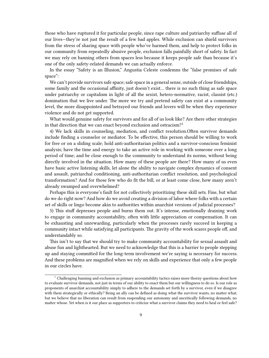those who have ruptured it for particular people, since rape culture and patriarchy suffuse all of our lives—they're not just the result of a few bad apples. While exclusion can shield survivors from the stress of sharing space with people who've harmed them, and help to protect folks in our community from repeatedly abusive people, exclusion falls painfully short of safety. In fact we may rely on banning others from spaces less because it keeps people safe than because it's one of the only safety-related demands we can actually enforce.

In the essay "Safety is an Illusion," Angustia Celeste condemns the "false promises of safe space":

We can't provide survivors safe space; safe space in a general sense, outside of close friendships, some family and the occasional affinity, just doesn't exist… there is no such thing as safe space under patriarchy or capitalism in light of all the sexist, hetero-normative, racist, classist (etc.) domination that we live under. The more we try and pretend safety can exist at a community level, the more disappointed and betrayed our friends and lovers will be when they experience violence and do not get supported.

What would genuine safety for survivors and for all of us look like? Are there other strategies in that direction that we can enact beyond exclusion and ostracism?<sup>1</sup>

4) We lack skills in counseling, mediation, and conflict resolution.Often survivor demands include finding a counselor or mediator. To be effective, this person should be willing to work for free or on a sliding scale; hold anti-authoritarian politics and a survivor-conscious feminist analysis; have the time and energy to take an active role in working with someone over a long period of time; and be close enough to the community to understand its norms, without being directly involved in the situation. How many of these people are there? How many of us even have basic active listening skills, let alone the ability to navigate complex dynamics of consent and assault, patriarchal conditioning, anti-authoritarian conflict resolution, and psychological transformation? And for those few who do fit the bill, or at least come close, how many aren't already swamped and overwhelmed?

Perhaps this is everyone's fault for not collectively prioritizing these skill sets. Fine, but what do we do right now? And how do we avoid creating a division of labor where folks with a certain set of skills or lingo become akin to authorities within anarchist versions of judicial processes?

5) This stuff depresses people and burns them out. It's intense, emotionally draining work to engage in community accountability, often with little appreciation or compensation. It can be exhausting and unrewarding, particularly when the processes rarely succeed in keeping a community intact while satisfying all participants. The gravity of the work scares people off, and understandably so.

This isn't to say that we should try to make community accountability for sexual assault and abuse fun and lighthearted. But we need to acknowledge that this is a barrier to people stepping up and staying committed for the long-term involvement we're saying is necessary for success. And these problems are magnified when we rely on skills and experience that only a few people in our circles have.

<sup>&</sup>lt;sup>1</sup> Challenging banning and exclusion as primary accountability tactics raises more thorny questions about how to evaluate survivor demands, not just in terms of our ability to enact them but our willingness to do so. Is our role as proponents of anarchist accountability simply to adhere to the demands set forth by a survivor, even if we disagree with them strategically or ethically? Being an ally can be defined as doing what the survivor wants, no matter what; but we believe that no liberation can result from suspending our autonomy and uncritically following demands, no matter whose. Yet when is it our place as supporters to criticize what a survivor claims they need to heal or feel safe?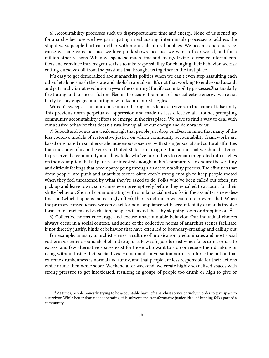6) Accountability processes suck up disproportionate time and energy. None of us signed up for anarchy because we love participating in exhausting, interminable processes to address the stupid ways people hurt each other within our subcultural bubbles. We became anarchists because we hate cops, because we love punk shows, because we want a freer world, and for a million other reasons. When we spend so much time and energy trying to resolve internal conflicts and convince intransigent sexists to take responsibility for changing their behavior, we risk cutting ourselves off from the passions that brought us together in the first place.

It's easy to get demoralized about anarchist politics when we can't even stop assaulting each other, let alone smash the state and abolish capitalism. It's not that working to end sexual assault and patriarchy is not revolutionary—on the contrary! But if accountability processes  $\Delta p$  articularly frustrating and unsuccessful ones ones to occupy too much of our collective energy, we're not likely to stay engaged and bring new folks into our struggles.

We can't sweep assault and abuse under the rug and silence survivors in the name of false unity. This previous norm perpetuated oppression and made us less effective all around, prompting community accountability efforts to emerge in the first place. We have to find a way to deal with our abusive behavior that doesn't swallow up all of our energy and demoralize us.

7) Subcultural bonds are weak enough that people just drop out.Bear in mind that many of the less coercive models of restorative justice on which community accountability frameworks are based originated in smaller-scale indigenous societies, with stronger social and cultural affinities than most any of us in the current United States can imagine. The notion that we should attempt to preserve the community and allow folks who've hurt others to remain integrated into it relies on the assumption that all parties are invested enough in this "community" to endure the scrutiny and difficult feelings that accompany going through an accountability process. The affinities that draw people into punk and anarchist scenes often aren't strong enough to keep people rooted when they feel threatened by what they're asked to do. Folks who've been called out often just pick up and leave town, sometimes even preemptively before they're called to account for their shitty behavior. Short of communicating with similar social networks in the assaulter's new destination (which happens increasingly often), there's not much we can do to prevent that. When the primary consequences we can exact for noncompliance with accountability demands involve forms of ostracism and exclusion, people will avoid these by skipping town or dropping out.<sup>2</sup>

8) Collective norms encourage and excuse unaccountable behavior. Our individual choices always occur in a social context, and some of the collective norms of anarchist scenes facilitate, if not directly justify, kinds of behavior that have often led to boundary-crossing and calling out.

For example, in many anarchist scenes, a culture of intoxication predominates and most social gatherings center around alcohol and drug use. Few safeguards exist when folks drink or use to excess, and few alternative spaces exist for those who want to stop or reduce their drinking or using without losing their social lives. Humor and conversation norms reinforce the notion that extreme drunkenness is normal and funny, and that people are less responsible for their actions while drunk then while sober. Weekend after weekend, we create highly sexualized spaces with strong pressure to get intoxicated, resulting in groups of people too drunk or high to give or

<sup>&</sup>lt;sup>2</sup> At times, people honestly trying to be accountable have left anarchist scenes entirely in order to give space to a survivor. While better than not cooperating, this subverts the transformative justice ideal of keeping folks part of a community.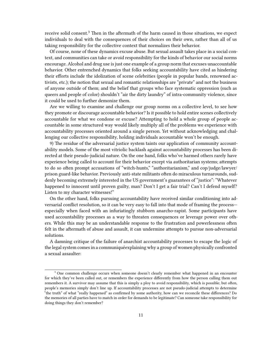receive solid consent.<sup>3</sup> Then in the aftermath of the harm caused in those situations, we expect individuals to deal with the consequences of their choices on their own, rather than all of us taking responsibility for the collective context that normalizes their behavior.

Of course, none of these dynamics excuse abuse. But sexual assault takes place in a social context, and communities can take or avoid responsibility for the kinds of behavior our social norms encourage. Alcohol and drug use is just one example of a group norm that excuses unaccountable behavior. Other entrenched dynamics that folks seeking accountability have cited as hindering their efforts include the idolization of scene celebrities (people in popular bands, renowned activists, etc.); the notion that sexual and romantic relationships are "private" and not the business of anyone outside of them; and the belief that groups who face systematic oppression (such as queers and people of color) shouldn't "air the dirty laundry" of intra-community violence, since it could be used to further demonize them.

Are we willing to examine and challenge our group norms on a collective level, to see how they promote or discourage accountable behavior? Is it possible to hold entire scenes collectively accountable for what we condone or excuse? Attempting to hold a whole group of people accountable in some structured way would likely multiply all of the problems we experience with accountability processes oriented around a single person. Yet without acknowledging and challenging our collective responsibility, holding individuals accountable won't be enough.

9) The residue of the adversarial justice system taints our application of community accountability models. Some of the most vitriolic backlash against accountability processes has been directed at their pseudo-judicial nature. On the one hand, folks who've harmed others rarely have experience being called to account for their behavior except via authoritarian systems; attempts to do so often prompt accusations of "witch-hunts," "authoritarianism," and cop/judge/lawyer/ prison guard-like behavior. Previously anti-state militants often do miraculous turnarounds, suddenly becoming extremely interested in the US government's guarantees of "justice": "Whatever happened to innocent until proven guilty, man? Don't I get a fair trial? Can't I defend myself? Listen to my character witnesses!"

On the other hand, folks pursuing accountability have received similar conditioning into adversarial conflict resolution, so it can be very easy to fall into that mode of framing the process especially when faced with an infuriatingly stubborn anarcho-rapist. Some participants have used accountability processes as a way to threaten consequences or leverage power over others. While this may be an understandable response to the frustration and powerlessness often felt in the aftermath of abuse and assault, it can undermine attempts to pursue non-adversarial solutions.

A damning critique of the failure of anarchist accountability processes to escape the logic of the legal system comes in a communiquéexplaining why a group of women physically confronted a sexual assaulter:

<sup>&</sup>lt;sup>3</sup> One common challenge occurs when someone doesn't clearly remember what happened in an encounter for which they've been called out, or remembers the experience differently from how the person calling them out remembers it. A survivor may assume that this is simply a ploy to avoid responsibility, which is possible; but often, people's memories simply don't line up. If accountability processes are not pseudo-judicial attempts to determine "the truth" of what "really happened" as confirmed by some authority, how can we reconcile these differences? Do the memories of all parties have to match in order for demands to be legitimate? Can someone take responsibility for doing things they don't remember?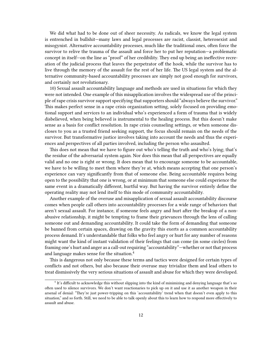We did what had to be done out of sheer necessity. As radicals, we know the legal system is entrenched in bullshit—many laws and legal processes are racist, classist, heterosexist and misogynist. Alternative accountability processes, much like the traditional ones, often force the survivor to relive the trauma of the assault and force her to put her reputation—a problematic concept in itself—on the line as "proof" of her credibility. They end up being an ineffective recreation of the judicial process that leaves the perpetrator off the hook, while the survivor has to live through the memory of the assault for the rest of her life. The US legal system and the alternative community-based accountability processes are simply not good enough for survivors, and certainly not revolutionary.

10) Sexual assault accountability language and methods are used in situations for which they were not intended. One example of this misapplication involves the widespread use of the principle of rape crisis survivor support specifying that supporters should "always believe the survivor." This makes perfect sense in a rape crisis organization setting, solely focused on providing emotional support and services to an individual who's experienced a form of trauma that is widely disbelieved, when being believed is instrumental to the healing process. But this doesn't make sense as a basis for conflict resolution. In rape crisis counseling settings, or when someone discloses to you as a trusted friend seeking support, the focus should remain on the needs of the survivor. But transformative justice involves taking into account the needs and thus the experiences and perspectives of all parties involved, including the person who assaulted.

This does not mean that we have to figure out who's telling the truth and who's lying; that's the residue of the adversarial system again. Nor does this mean that all perspectives are equally valid and no one is right or wrong. It does mean that to encourage someone to be accountable, we have to be willing to meet them where they're at, which means accepting that one person's experience can vary significantly from that of someone else. Being accountable requires being open to the possibility that one is wrong, or at minimum that someone else could experience the same event in a dramatically different, hurtful way. But having the survivor entirely define the operating reality may not lend itself to this mode of community accountability.

Another example of the overuse and misapplication of sexual assault accountability discourse comes when people call others into accountability processes for a wide range of behaviors that aren't sexual assault. For instance, if someone feels angry and hurt after the breakup of a nonabusive relationship, it might be tempting to frame their grievances through the lens of calling someone out and demanding accountability. It could take the form of demanding that someone be banned from certain spaces, drawing on the gravity this exerts as a common accountability process demand. It's understandable that folks who feel angry or hurt for any number of reasons might want the kind of instant validation of their feelings that can come (in some circles) from framing one's hurt and anger as a call-out requiring "accountability"—whether or not that process and language makes sense for the situation.<sup>4</sup>

This is dangerous not only because these terms and tactics were designed for certain types of conflicts and not others, but also because their overuse may trivialize them and lead others to treat dismissively the very serious situations of assault and abuse for which they were developed.

<sup>&</sup>lt;sup>4</sup> It's difficult to acknowledge this without slipping into the kind of minimizing and denying language that's so often used to silence survivors. We don't want reactionaries to pick up on it and use it as another weapon in their arsenal of denial: "They're just power-tripping on this 'accountability' trend when that doesn't even apply to this situation," and so forth. Still, we need to be able to talk openly about this to learn how to respond more effectively to assault and abuse.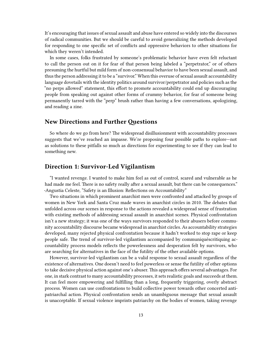It's encouraging that issues of sexual assault and abuse have entered so widely into the discourses of radical communities. But we should be careful to avoid generalizing the methods developed for responding to one specific set of conflicts and oppressive behaviors to other situations for which they weren't intended.

In some cases, folks frustrated by someone's problematic behavior have even felt reluctant to call the person out on it for fear of that person being labeled a "perpetrator," or of others presuming the hurtful but mild form of non-consensual behavior to have been sexual assault, and thus the person addressing it to be a "survivor." When this overuse of sexual assault accountability language dovetails with the identity politics around survivor/perpetrator and policies such as the "no perps allowed" statement, this effort to promote accountability could end up discouraging people from speaking out against other forms of crummy behavior, for fear of someone being permanently tarred with the "perp" brush rather than having a few conversations, apologizing, and reading a zine.

## <span id="page-12-0"></span>**New Directions and Further Questions**

So where do we go from here? The widespread disillusionment with accountability processes suggests that we've reached an impasse. We're proposing four possible paths to explore—not as solutions to these pitfalls so much as directions for experimenting to see if they can lead to something new.

#### <span id="page-12-1"></span>**Direction 1: Survivor-Led Vigilantism**

"I wanted revenge. I wanted to make him feel as out of control, scared and vulnerable as he had made me feel. There is no safety really after a sexual assault, but there can be consequences." -Angustia Celeste, "Safety is an Illusion: Reflections on Accountability"

Two situations in which prominent anarchist men were confronted and attacked by groups of women in New York and Santa Cruz made waves in anarchist circles in 2010. The debates that unfolded across our scenes in response to the actions revealed a widespread sense of frustration with existing methods of addressing sexual assault in anarchist scenes. Physical confrontation isn't a new strategy; it was one of the ways survivors responded to their abusers before community accountability discourse became widespread in anarchist circles. As accountability strategies developed, many rejected physical confrontation because it hadn't worked to stop rape or keep people safe. The trend of survivor-led vigilantism accompanied by communiquéscritiquing accountability process models reflects the powerlessness and desperation felt by survivors, who are searching for alternatives in the face of the futility of the other available options.

However, survivor-led vigilantism can be a valid response to sexual assault regardless of the existence of alternatives. One doesn't need to feel powerless or sense the futility of other options to take decisive physical action against one's abuser. This approach offers several advantages. For one, in stark contrast to many accountability processes, it sets realistic goals and succeeds at them. It can feel more empowering and fulfilling than a long, frequently triggering, overly abstract process. Women can use confrontations to build collective power towards other concerted antipatriarchal action. Physical confrontation sends an unambiguous message that sexual assault is unacceptable. If sexual violence imprints patriarchy on the bodies of women, taking revenge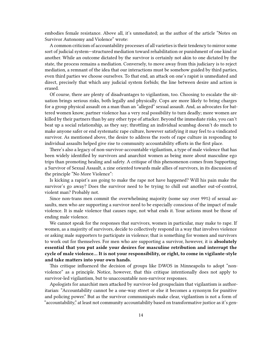embodies female resistance. Above all, it's unmediated; as the author of the article "Notes on Survivor Autonomy and Violence" wrote:

A common criticism of accountability processes of all varieties is their tendency to mirror some sort of judicial system—structured mediation toward rehabilitation or punishment of one kind or another. While an outcome dictated by the survivor is certainly not akin to one dictated by the state, the process remains a mediation. Conversely, to move away from this judiciary is to reject mediation, a remnant of the idea that our interactions must be somehow guided by third parties, even third parties we choose ourselves. To that end, an attack on one's rapist is unmediated and direct, precisely that which any judicial system forbids; the line between desire and action is erased.

Of course, there are plenty of disadvantages to vigilantism, too. Choosing to escalate the situation brings serious risks, both legally and physically. Cops are more likely to bring charges for a group physical assault on a man than an "alleged" sexual assault. And, as advocates for battered women know, partner violence has a very real possibility to turn deadly; more women are killed by their partners than by any other type of attacker. Beyond the immediate risks, you can't beat up a social relationship, as they say; throttling an individual scumbag doesn't do much to make anyone safer or end systematic rape culture, however satisfying it may feel to a vindicated survivor. As mentioned above, the desire to address the roots of rape culture in responding to individual assaults helped give rise to community accountability efforts in the first place.

There's also a legacy of non-survivor-accountable vigilantism, a type of male violence that has been widely identified by survivors and anarchist women as being more about masculine ego trips than promoting healing and safety. A critique of this phenomenon comes from Supporting a Survivor of Sexual Assault, a zine oriented towards male allies of survivors, in its discussion of the principle "No More Violence":

Is kicking a rapist's ass going to make the rape not have happened? Will his pain make the survivor's go away? Does the survivor need to be trying to chill out another out-of-control, violent man? Probably not.

Since non-trans men commit the overwhelming majority (some say over 99%) of sexual assaults, men who are supporting a survivor need to be especially conscious of the impact of male violence. It is male violence that causes rape, not what ends it. Your actions must be those of ending male violence.

We cannot speak for the responses that survivors, women in particular, may make to rape. If women, as a majority of survivors, decide to collectively respond in a way that involves violence or asking male supporters to participate in violence; that is something for women and survivors to work out for themselves. For men who are supporting a survivor, however, it is **absolutely essential that you put aside your desires for masculine retribution and interrupt the cycle of male violence… It is not your responsibility, or right, to come in vigilante-style and take matters into your own hands.**

This critique influenced the decision of groups like DWOS in Minneapolis to adopt "nonviolence" as a principle. Notice, however, that this critique intentionally does not apply to survivor-led vigilantism, but to unaccountable non-survivor responses.

Apologists for anarchist men attacked by survivor-led groupsclaim that vigilantism is authoritarian: "Accountability cannot be a one-way street or else it becomes a synonym for punitive and policing power." But as the survivor communiqués make clear, vigilantism is not a form of "accountability," at least not community accountability based on transformative justice as it's gen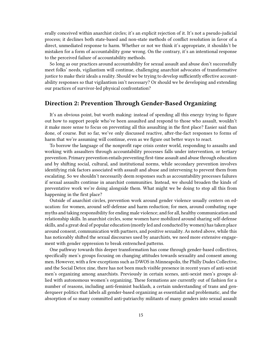erally conceived within anarchist circles; it's an explicit rejection of it. It's not a pseudo-judicial process; it declines both state-based and non-state methods of conflict resolution in favor of a direct, unmediated response to harm. Whether or not we think it's appropriate, it shouldn't be mistaken for a form of accountability gone wrong. On the contrary, it's an intentional response to the perceived failure of accountability methods.

So long as our practices around accountability for sexual assault and abuse don't successfully meet folks' needs, vigilantism will continue, challenging anarchist advocates of transformative justice to make their ideals a reality. Should we be trying to develop sufficiently effective accountability responses so that vigilantism isn't necessary? Or should we be developing and extending our practices of survivor-led physical confrontation?

## <span id="page-14-0"></span>**Direction 2: Prevention Through Gender-Based Organizing**

It's an obvious point, but worth making: instead of spending all this energy trying to figure out how to support people who've been assaulted and respond to those who assault, wouldn't it make more sense to focus on preventing all this assaulting in the first place? Easier said than done, of course. But so far, we've only discussed reactive, after-the-fact responses to forms of harm that we're assuming will continue, even as we figure out better ways to react.

To borrow the language of the nonprofit rape crisis center world, responding to assaults and working with assaulters through accountability processes falls under intervention, or tertiary prevention. Primary prevention entails preventing first-time assault and abuse through education and by shifting social, cultural, and institutional norms, while secondary prevention involves identifying risk factors associated with assault and abuse and intervening to prevent them from escalating. So we shouldn't necessarily deem responses such as accountability processes failures if sexual assaults continue in anarchist communities. Instead, we should broaden the kinds of preventative work we're doing alongside them. What might we be doing to stop all this from happening in the first place?

Outside of anarchist circles, prevention work around gender violence usually centers on education: for women, around self-defense and harm reduction; for men, around combating rape myths and taking responsibility for ending male violence; and for all, healthy communication and relationship skills. In anarchist circles, some women have mobilized around sharing self-defense skills, and a great deal of popular education (mostly led and conducted by women) has taken place around consent, communication with partners, and positive sexuality. As noted above, while this has noticeably shifted the sexual discourses used by anarchists, we need more extensive engagement with gender oppression to break entrenched patterns.

One pathway towards this deeper transformation has come through gender-based collectives, specifically men's groups focusing on changing attitudes towards sexuality and consent among men. However, with a few exceptions such as DWOS in Minneapolis, the Philly Dudes Collective, and the Social Detox zine, there has not been much visible presence in recent years of anti-sexist men's organizing among anarchists. Previously in certain scenes, anti-sexist men's groups allied with autonomous women's organizing. These formations are currently out of fashion for a number of reasons, including anti-feminist backlash, a certain understanding of trans and genderqueer politics that labels all gender-based organizing as essentialist and problematic, and the absorption of so many committed anti-patriarchy militants of many genders into sexual assault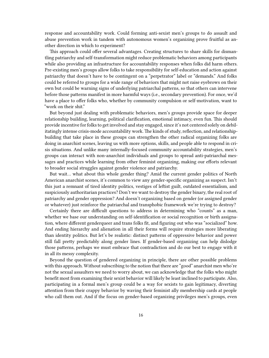response and accountability work. Could forming anti-sexist men's groups to do assault and abuse prevention work in tandem with autonomous women's organizing prove fruitful as another direction in which to experiment?

This approach could offer several advantages. Creating structures to share skills for dismantling patriarchy and self-transformation might reduce problematic behaviors among participants while also providing an infrastructure for accountability responses when folks did harm others. Pre-existing men's groups allow folks to take responsibility for self-education and action against patriarchy that doesn't have to be contingent on a "perpetrator" label or "demands." And folks could be referred to groups for a wide range of behaviors that might not raise eyebrows on their own but could be warning signs of underlying patriarchal patterns, so that others can intervene before those patterns manifest in more harmful ways (i.e., secondary prevention). For once, we'd have a place to offer folks who, whether by community compulsion or self-motivation, want to "work on their shit."

But beyond just dealing with problematic behaviors, men's groups provide space for deeper relationship building, learning, political clarification, emotional intimacy, even fun. This should provide incentive for folks to get involved and stay engaged, since it's not centered solely on debilitatingly intense crisis-mode accountability work. The kinds of study, reflection, and relationshipbuilding that take place in these groups can strengthen the other radical organizing folks are doing in anarchist scenes, leaving us with more options, skills, and people able to respond in crisis situations. And unlike many internally-focused community accountability strategies, men's groups can interact with non-anarchist individuals and groups to spread anti-patriarchal messages and practices while learning from other feminist organizing, making our efforts relevant to broader social struggles against gender violence and patriarchy.

But wait… what about this whole gender thing? Amid the current gender politics of North American anarchist scenes, it's common to view any gender-specific organizing as suspect. Isn't this just a remnant of tired identity politics, vestiges of leftist guilt, outdated essentialism, and suspiciously authoritarian practices? Don't we want to destroy the gender binary, the real root of patriarchy and gender oppression? And doesn't organizing based on gender (or assigned gender or whatever) just reinforce the patriarchal and transphobic framework we're trying to destroy?

Certainly there are difficult questions to address in determining who "counts" as a man, whether we base our understanding on self-identification or social recognition or birth assignation, where different genderqueer and trans folks fit, and figuring out who was "socialized" how. And ending hierarchy and alienation in all their forms will require strategies more liberating than identity politics. But let's be realistic: distinct patterns of oppressive behavior and power still fall pretty predictably along gender lines. If gender-based organizing can help dislodge those patterns, perhaps we must embrace that contradiction and do our best to engage with it in all its messy complexity.

Beyond the question of gendered organizing in principle, there are other possible problems with this approach. Without subscribing to the notion that there are "good" anarchist men who're not the sexual assaulters we need to worry about, we can acknowledge that the folks who might benefit most from examining their sexist behavior will likely be least inclined to participate. Also, participating in a formal men's group could be a way for sexists to gain legitimacy, diverting attention from their crappy behavior by waving their feminist ally membership cards at people who call them out. And if the focus on gender-based organizing privileges men's groups, even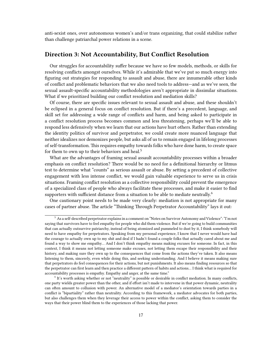anti-sexist ones, over autonomous women's and/or trans organizing, that could stabilize rather than challenge patriarchal power relations in a scene.

## <span id="page-16-0"></span>**Direction 3: Not Accountability, But Conflict Resolution**

Our struggles for accountability suffer because we have so few models, methods, or skills for resolving conflicts amongst ourselves. While it's admirable that we've put so much energy into figuring out strategies for responding to assault and abuse, there are innumerable other kinds of conflict and problematic behaviors that we also need tools to address—and as we've seen, the sexual assault-specific accountability methodologies aren't appropriate in dissimilar situations. What if we prioritized building our conflict resolution and mediation skills?

Of course, there are specific issues relevant to sexual assault and abuse, and these shouldn't be eclipsed in a general focus on conflict resolution. But if there's a precedent, language, and skill set for addressing a wide range of conflicts and harm, and being asked to participate in a conflict resolution process becomes common and less threatening, perhaps we'll be able to respond less defensively when we learn that our actions have hurt others. Rather than extending the identity politics of survivor and perpetrator, we could create more nuanced language that neither idealizes nor demonizes people, but asks all of us to remain engaged in lifelong processes of self-transformation. This requires empathy towards folks who have done harm, to create space for them to own up to their behaviors and heal.<sup>5</sup>

What are the advantages of framing sexual assault accountability processes within a broader emphasis on conflict resolution? There would be no need for a definitional hierarchy or litmus test to determine what "counts" as serious assault or abuse. By setting a precedent of collective engagement with less intense conflict, we would gain valuable experience to serve us in crisis situations. Framing conflict resolution as a collective responsibility could prevent the emergence of a specialized class of people who always facilitate these processes, and make it easier to find supporters with sufficient distance from a situation to be able to mediate neutrally.<sup>6</sup>

One cautionary point needs to be made very clearly: mediation is not appropriate for many cases of partner abuse. The article "Thinking Through Perpetrator Accountability" lays it out:

<sup>5</sup> As a self-described perpetrator explains in a comment on "Notes on Survivor Autonomy and Violence": "I'm not saying that survivors have to feel empathy for people who did them violence. But if we're going to build communities that can actually outsurvive patriarchy, instead of being atomized and pummeled to dust by it, I think somebody will need to have empathy for perpetrators. Speaking from my personal experience, I know that I never would have had the courage to actually own up to my shit and deal if I hadn't found a couple folks that actually cared about me and found a way to show me empathy… And I don't think empathy means making excuses for someone. In fact, in this context, I think it means not letting someone make excuses, not letting them escape their responsibility and their history, and making sure they own up to the consequences that come from the actions they've taken. It also means listening to them, sincerely, even while doing this, and seeking understanding. And I believe it means making sure that perpetrators do feel consequences for their actions, but not punishments. It also means finding resources so that the perpetrator can first learn and then practice a different pattern of habits and actions… I think what is required for accountability processes is empathy. Empathy and anger, at the same time."

<sup>6</sup> It's worth asking whether or not "neutrality" is possible or desirable in conflict mediation. In many conflicts, one party wields greater power than the other, and if effort isn't made to intervene in that power dynamic, neutrality can often amount to collusion with power. An alternative model of a mediator's orientation towards parties in a conflict is "bipartiality" rather than neutrality. According to this framework, a mediator advocates for both parties, but also challenges them when they leverage their access to power within the conflict, asking them to consider the ways that their power blind them to the experiences of those lacking that power.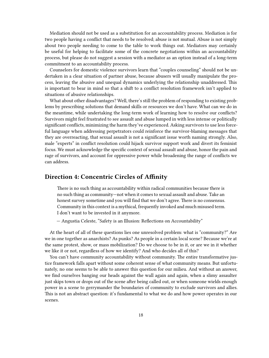Mediation should not be used as a substitution for an accountability process. Mediation is for two people having a conflict that needs to be resolved; abuse is not mutual. Abuse is not simply about two people needing to come to the table to work things out. Mediators may certainly be useful for helping to facilitate some of the concrete negotiations within an accountability process, but please do not suggest a session with a mediator as an option instead of a long-term commitment to an accountability process.

Counselors for domestic violence survivors learn that "couples counseling" should not be undertaken in a clear situation of partner abuse, because abusers will usually manipulate the process, leaving the abusive and unequal dynamics underlying the relationship unaddressed. This is important to bear in mind so that a shift to a conflict resolution framework isn't applied to situations of abusive relationships.

What about other disadvantages? Well, there's still the problem of responding to existing problems by prescribing solutions that demand skills or resources we don't have. What can we do in the meantime, while undertaking the long-term work of learning how to resolve our conflicts? Survivors might feel frustrated to see assault and abuse lumped in with less intense or politically significant conflicts, minimizing the harm they've experienced. Asking survivors to use less forceful language when addressing perpetrators could reinforce the survivor-blaming messages that they are overreacting, that sexual assault is not a significant issue worth naming strongly. Also, male "experts" in conflict resolution could hijack survivor support work and divert its feminist focus. We must acknowledge the specific context of sexual assault and abuse, honor the pain and rage of survivors, and account for oppressive power while broadening the range of conflicts we can address.

### <span id="page-17-0"></span>**Direction 4: Concentric Circles of Affinity**

There is no such thing as accountability within radical communities because there is no such thing as community—not when it comes to sexual assault and abuse. Take an honest survey sometime and you will find that we don't agree. There is no consensus. Community in this context is a mythical, frequently invoked and much misused term. I don't want to be invested in it anymore.

— Angustia Celeste, "Safety is an Illusion: Reflections on Accountability"

At the heart of all of these questions lies one unresolved problem: what is "community?" Are we in one together as anarchists? As punks? As people in a certain local scene? Because we're at the same protest, show, or mass mobilization? Do we choose to be in it, or are we in it whether we like it or not, regardless of how we identify? And who decides all of this?

You can't have community accountability without community. The entire transformative justice framework falls apart without some coherent sense of what community means. But unfortunately, no one seems to be able to answer this question for our milieu. And without an answer, we find ourselves banging our heads against the wall again and again, when a slimy assaulter just skips town or drops out of the scene after being called out, or when someone wields enough power in a scene to gerrymander the boundaries of community to exclude survivors and allies. This is not an abstract question: it's fundamental to what we do and how power operates in our scenes.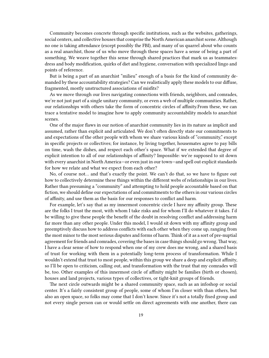Community becomes concrete through specific institutions, such as the websites, gatherings, social centers, and collective houses that comprise the North American anarchist scene. Although no one is taking attendance (except possibly the FBI), and many of us quarrel about who counts as a real anarchist, those of us who move through these spaces have a sense of being a part of something. We weave together this sense through shared practices that mark us as teammates: dress and body modification, quirks of diet and hygiene, conversation with specialized lingo and points of reference.

But is being a part of an anarchist "milieu" enough of a basis for the kind of community demanded by these accountability strategies? Can we realistically apply these models to our diffuse, fragmented, mostly unstructured associations of misfits?

As we move through our lives navigating connections with friends, neighbors, and comrades, we're not just part of a single unitary community, or even a web of multiple communities. Rather, our relationships with others take the form of concentric circles of affinity.From these, we can trace a tentative model to imagine how to apply community accountability models to anarchist scenes.

One of the major flaws in our notion of anarchist community lies in its nature as implicit and assumed, rather than explicit and articulated. We don't often directly state our commitments to and expectations of the other people with whom we share various kinds of "community," except in specific projects or collectives; for instance, by living together, housemates agree to pay bills on time, wash the dishes, and respect each other's space. What if we extended that degree of explicit intention to all of our relationships of affinity? Impossible: we're supposed to sit down with every anarchist in North America—or even just in our town—and spell out explicit standards for how we relate and what we expect from each other?

No, of course not… and that's exactly the point. We can't do that, so we have to figure out how to collectively determine these things within the different webs of relationships in our lives. Rather than presuming a "community" and attempting to hold people accountable based on that fiction, we should define our expectations of and commitments to the others in our various circles of affinity, and use them as the basis for our responses to conflict and harm.

For example, let's say that as my innermost concentric circle I have my affinity group. These are the folks I trust the most, with whom I take risks and for whom I'll do whatever it takes. I'd be willing to give these people the benefit of the doubt in resolving conflict and addressing harm far more than any other people. Under this model, I would sit down with my affinity group and preemptively discuss how to address conflicts with each other when they come up, ranging from the most minor to the most serious disputes and forms of harm. Think of it as a sort of pre-nuptial agreement for friends and comrades, covering the bases in case things should go wrong. That way, I have a clear sense of how to respond when one of my crew does me wrong, and a shared basis of trust for working with them in a potentially long-term process of transformation. While I wouldn't extend that trust to most people, within this group we share a deep and explicit affinity, so I'll be open to criticism, calling out, and transformation with the trust that my comrades will be, too. Other examples of this innermost circle of affinity might be families (birth or chosen), houses and land projects, various types of collectives, or tight-knit groups of friends.

The next circle outwards might be a shared community space, such as an infoshop or social center. It's a fairly consistent group of people, some of whom I'm closer with than others, but also an open space, so folks may come that I don't know. Since it's not a totally fixed group and not every single person can or would settle on direct agreements with one another, there can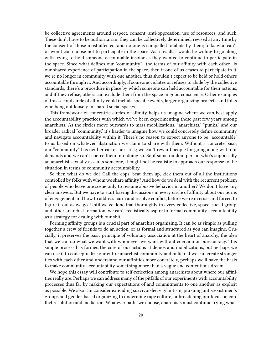be collective agreements around respect, consent, anti-oppression, use of resources, and such. These don't have to be authoritarian; they can be collectively determined, revised at any time by the consent of those most affected, and no one is compelled to abide by them; folks who can't or won't can choose not to participate in the space. As a result, I would be willing to go along with trying to hold someone accountable insofar as they wanted to continue to participate in the space. Since what defines our "community"—the terms of our affinity with each other—is our shared experience of participation in the space, then if one of us ceases to participate in it, we're no longer in community with one another, thus shouldn't expect to be held or hold others accountable through it. And accordingly, if someone violates or refuses to abide by the collective standards, there's a procedure in place by which someone can held accountable for their actions; and if they refuse, others can exclude them from the space in good conscience. Other examples of this second circle of affinity could include specific events, larger organizing projects, and folks who hang out loosely in shared social spaces.

This framework of concentric circles of affinity helps us imagine where we can best apply the accountability practices with which we've been experimenting these past few years among anarchists. As the circles move outwards to mass mobilizations, "anarchists," "punks," and our broader radical "community," it's harder to imagine how we could concretely define community and navigate accountability within it. There's no reason to expect anyone to be "accountable" to us based on whatever abstraction we claim to share with them. Without a concrete basis, our "community" has neither carrot nor stick; we can't reward people for going along with our demands and we can't coerce them into doing so. So if some random person who's supposedly an anarchist sexually assaults someone, it might not be realistic to approach our response to the situation in terms of community accountability.

So then what do we do? Call the cops, beat them up, kick them out of all the institutions controlled by folks with whom we share affinity? And how do we deal with the recurrent problem of people who leave one scene only to resume abusive behavior in another? We don't have any clear answers. But we have to start having discussions in every circle of affinity about our terms of engagement and how to address harm and resolve conflict, before we're in crisis and forced to figure it out as we go. Until we've done that thoroughly in every collective, space, social group, and other anarchist formation, we can't realistically aspire to formal community accountability as a strategy for dealing with our shit.

Forming affinity groups is a crucial part of anarchist organizing. It can be as simple as pulling together a crew of friends to do an action, or as formal and structured as you can imagine. Crucially, it preserves the basic principle of voluntary association at the heart of anarchy, the idea that we can do what we want with whomever we want without coercion or bureaucracy. This simple process has formed the core of our actions at demos and mobilizations, but perhaps we can use it to conceptualize our entire anarchist community and milieu. If we can create stronger ties with each other and understand our affinities more concretely, perhaps we'll have the basis to make community accountability something more than a vague and contentious dream.

We hope this essay will contribute to self-reflection among anarchists about where our affinities really are. Perhaps we can address many of the pitfalls of our experiments with accountability processes thus far by making our expectations of and commitments to one another as explicit as possible. We also can consider extending survivor-led vigilantism, pursuing anti-sexist men's groups and gender-based organizing to undermine rape culture, or broadening our focus on conflict resolution and mediation. Whatever paths we choose, anarchists must continue trying what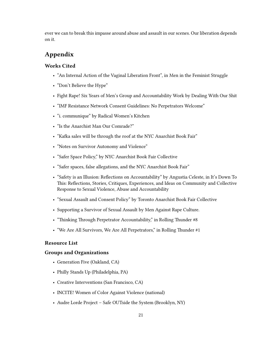ever we can to break this impasse around abuse and assault in our scenes. Our liberation depends on it.

## <span id="page-20-0"></span>**Appendix**

#### <span id="page-20-1"></span>**Works Cited**

- "An Internal Action of the Vaginal Liberation Front", in Men in the Feminist Struggle
- "Don't Believe the Hype"
- Fight Rape! Six Years of Men's Group and Accountability Work by Dealing With Our Shit
- "IMF Resistance Network Consent Guidelines: No Perpetrators Welcome"
- "i. communique" by Radical Women's Kitchen
- "Is the Anarchist Man Our Comrade?"
- "Kafka sales will be through the roof at the NYC Anarchist Book Fair"
- "Notes on Survivor Autonomy and Violence"
- "Safer Space Policy," by NYC Anarchist Book Fair Collective
- "Safer spaces, false allegations, and the NYC Anarchist Book Fair"
- "Safety is an Illusion: Reflections on Accountability" by Angustia Celeste, in It's Down To This: Reflections, Stories, Critiques, Experiences, and Ideas on Community and Collective Response to Sexual Violence, Abuse and Accountability
- "Sexual Assault and Consent Policy" by Toronto Anarchist Book Fair Collective
- Supporting a Survivor of Sexual Assault by Men Against Rape Culture.
- "Thinking Through Perpetrator Accountability," in Rolling Thunder #8
- "We Are All Survivors, We Are All Perpetrators," in Rolling Thunder #1

#### <span id="page-20-2"></span>**Resource List**

#### <span id="page-20-3"></span>**Groups and Organizations**

- Generation Five (Oakland, CA)
- Philly Stands Up (Philadelphia, PA)
- Creative Interventions (San Francisco, CA)
- INCITE! Women of Color Against Violence (national)
- Audre Lorde Project Safe OUTside the System (Brooklyn, NY)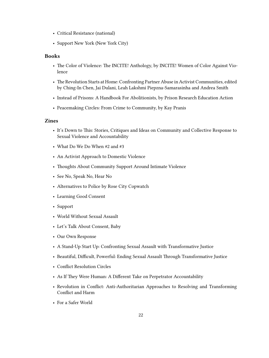- Critical Resistance (national)
- Support New York (New York City)

#### <span id="page-21-0"></span>**Books**

- The Color of Violence: The INCITE! Anthology, by INCITE! Women of Color Against Violence
- The Revolution Starts at Home: Confronting Partner Abuse in Activist Communities, edited by Ching-In Chen, Jai Dulani, Leah Lakshmi Piepzna-Samarasinha and Andrea Smith
- Instead of Prisons: A Handbook For Abolitionists, by Prison Research Education Action
- Peacemaking Circles: From Crime to Community, by Kay Pranis

#### <span id="page-21-1"></span>**Zines**

- It's Down to This: Stories, Critiques and Ideas on Community and Collective Response to Sexual Violence and Accountability
- What Do We Do When #2 and #3
- An Activist Approach to Domestic Violence
- Thoughts About Community Support Around Intimate Violence
- See No, Speak No, Hear No
- Alternatives to Police by Rose City Copwatch
- Learning Good Consent
- Support
- World Without Sexual Assault
- Let's Talk About Consent, Baby
- Our Own Response
- A Stand-Up Start Up: Confronting Sexual Assault with Transformative Justice
- Beautiful, Difficult, Powerful: Ending Sexual Assault Through Transformative Justice
- Conflict Resolution Circles
- As If They Were Human: A Different Take on Perpetrator Accountability
- Revolution in Conflict: Anti-Authoritarian Approaches to Resolving and Transforming Conflict and Harm
- For a Safer World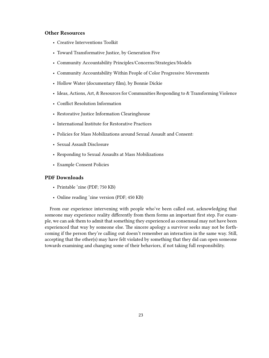#### <span id="page-22-0"></span>**Other Resources**

- Creative Interventions Toolkit
- Toward Transformative Justice, by Generation Five
- Community Accountability Principles/Concerns/Strategies/Models
- Community Accountability Within People of Color Progressive Movements
- Hollow Water (documentary film), by Bonnie Dickie
- Ideas, Actions, Art, & Resources for Communities Responding to & Transforming Violence
- Conflict Resolution Information
- Restorative Justice Information Clearinghouse
- International Institute for Restorative Practices
- Policies for Mass Mobilizations around Sexual Assault and Consent:
- Sexual Assault Disclosure
- Responding to Sexual Assaults at Mass Mobilizations
- Example Consent Policies

#### <span id="page-22-1"></span>**PDF Downloads**

- Printable 'zine (PDF; 750 KB)
- Online reading 'zine version (PDF; 450 KB)

From our experience intervening with people who've been called out, acknowledging that someone may experience reality differently from them forms an important first step. For example, we can ask them to admit that something they experienced as consensual may not have been experienced that way by someone else. The sincere apology a survivor seeks may not be forthcoming if the person they're calling out doesn't remember an interaction in the same way. Still, accepting that the other(s) may have felt violated by something that they did can open someone towards examining and changing some of their behaviors, if not taking full responsibility.